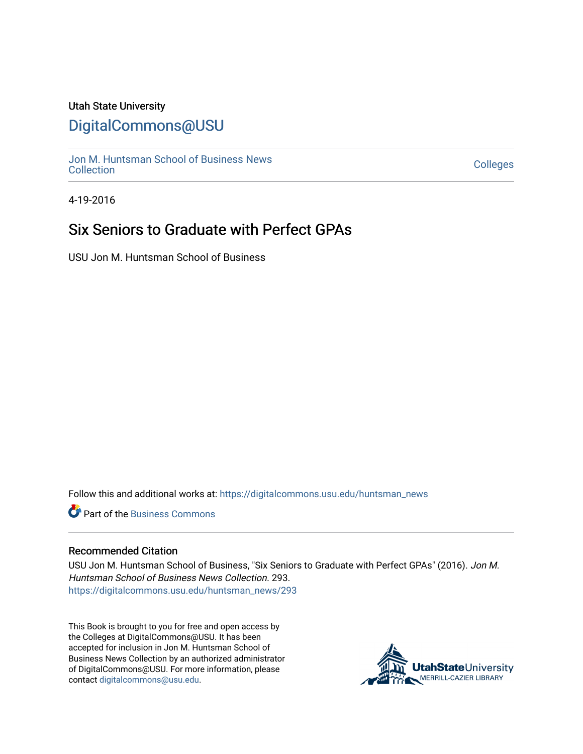## Utah State University

## [DigitalCommons@USU](https://digitalcommons.usu.edu/)

[Jon M. Huntsman School of Business News](https://digitalcommons.usu.edu/huntsman_news)  Soft M. Huntsman School of Business News<br>[Collection](https://digitalcommons.usu.edu/huntsman_news) Colleges

4-19-2016

# Six Seniors to Graduate with Perfect GPAs

USU Jon M. Huntsman School of Business

Follow this and additional works at: [https://digitalcommons.usu.edu/huntsman\\_news](https://digitalcommons.usu.edu/huntsman_news?utm_source=digitalcommons.usu.edu%2Fhuntsman_news%2F293&utm_medium=PDF&utm_campaign=PDFCoverPages) 

**C** Part of the [Business Commons](http://network.bepress.com/hgg/discipline/622?utm_source=digitalcommons.usu.edu%2Fhuntsman_news%2F293&utm_medium=PDF&utm_campaign=PDFCoverPages)

#### Recommended Citation

USU Jon M. Huntsman School of Business, "Six Seniors to Graduate with Perfect GPAs" (2016). Jon M. Huntsman School of Business News Collection. 293. [https://digitalcommons.usu.edu/huntsman\\_news/293](https://digitalcommons.usu.edu/huntsman_news/293?utm_source=digitalcommons.usu.edu%2Fhuntsman_news%2F293&utm_medium=PDF&utm_campaign=PDFCoverPages) 

This Book is brought to you for free and open access by the Colleges at DigitalCommons@USU. It has been accepted for inclusion in Jon M. Huntsman School of Business News Collection by an authorized administrator of DigitalCommons@USU. For more information, please contact [digitalcommons@usu.edu](mailto:digitalcommons@usu.edu).

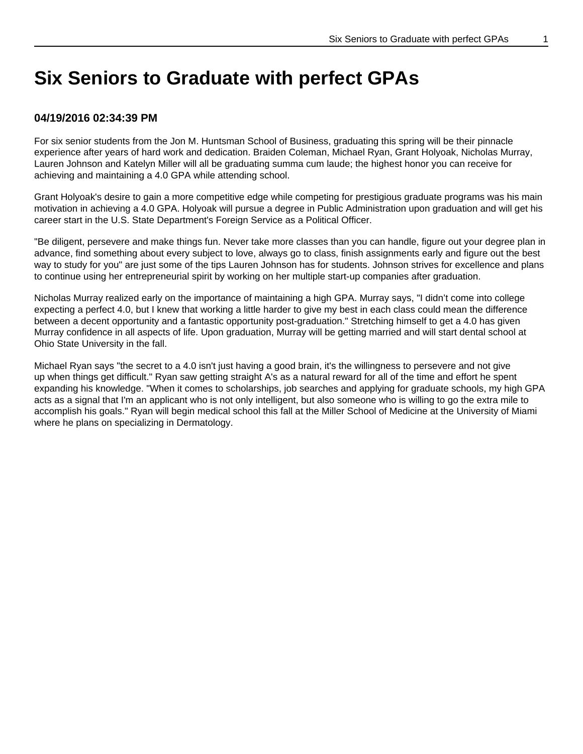# **Six Seniors to Graduate with perfect GPAs**

## **04/19/2016 02:34:39 PM**

For six senior students from the Jon M. Huntsman School of Business, graduating this spring will be their pinnacle experience after years of hard work and dedication. Braiden Coleman, Michael Ryan, Grant Holyoak, Nicholas Murray, Lauren Johnson and Katelyn Miller will all be graduating summa cum laude; the highest honor you can receive for achieving and maintaining a 4.0 GPA while attending school.

Grant Holyoak's desire to gain a more competitive edge while competing for prestigious graduate programs was his main motivation in achieving a 4.0 GPA. Holyoak will pursue a degree in Public Administration upon graduation and will get his career start in the U.S. State Department's Foreign Service as a Political Officer.

"Be diligent, persevere and make things fun. Never take more classes than you can handle, figure out your degree plan in advance, find something about every subject to love, always go to class, finish assignments early and figure out the best way to study for you" are just some of the tips Lauren Johnson has for students. Johnson strives for excellence and plans to continue using her entrepreneurial spirit by working on her multiple start-up companies after graduation.

Nicholas Murray realized early on the importance of maintaining a high GPA. Murray says, "I didn't come into college expecting a perfect 4.0, but I knew that working a little harder to give my best in each class could mean the difference between a decent opportunity and a fantastic opportunity post-graduation." Stretching himself to get a 4.0 has given Murray confidence in all aspects of life. Upon graduation, Murray will be getting married and will start dental school at Ohio State University in the fall.

Michael Ryan says "the secret to a 4.0 isn't just having a good brain, it's the willingness to persevere and not give up when things get difficult." Ryan saw getting straight A's as a natural reward for all of the time and effort he spent expanding his knowledge. "When it comes to scholarships, job searches and applying for graduate schools, my high GPA acts as a signal that I'm an applicant who is not only intelligent, but also someone who is willing to go the extra mile to accomplish his goals." Ryan will begin medical school this fall at the Miller School of Medicine at the University of Miami where he plans on specializing in Dermatology.